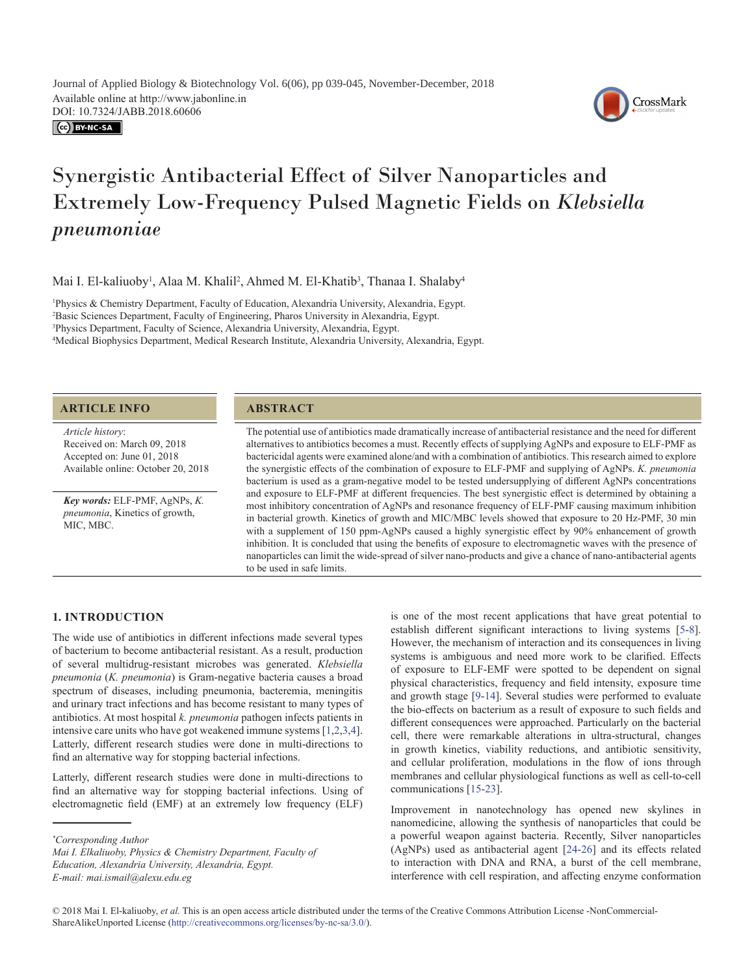CC BY-NC-SA



# Synergistic Antibacterial Effect of Silver Nanoparticles and Extremely Low-Frequency Pulsed Magnetic Fields on *Klebsiella pneumoniae*

Mai I. El-kaliuoby<sup>1</sup>, Alaa M. Khalil<sup>2</sup>, Ahmed M. El-Khatib<sup>3</sup>, Thanaa I. Shalaby<sup>4</sup>

 Physics & Chemistry Department, Faculty of Education, Alexandria University, Alexandria, Egypt. Basic Sciences Department, Faculty of Engineering, Pharos University in Alexandria, Egypt. Physics Department, Faculty of Science, Alexandria University, Alexandria, Egypt. Medical Biophysics Department, Medical Research Institute, Alexandria University, Alexandria, Egypt.

# **ARTICLE INFO ABSTRACT**

*Article history*: Received on: March 09, 2018 Accepted on: June 01, 2018 Available online: October 20, 2018

*Key words:* ELF-PMF, AgNPs, *K. pneumonia*, Kinetics of growth, MIC, MBC.

The potential use of antibiotics made dramatically increase of antibacterial resistance and the need for different alternatives to antibiotics becomes a must. Recently effects of supplying AgNPs and exposure to ELF-PMF as bactericidal agents were examined alone/and with a combination of antibiotics. This research aimed to explore the synergistic effects of the combination of exposure to ELF-PMF and supplying of AgNPs. *K. pneumonia* bacterium is used as a gram-negative model to be tested undersupplying of different AgNPs concentrations and exposure to ELF-PMF at different frequencies. The best synergistic effect is determined by obtaining a most inhibitory concentration of AgNPs and resonance frequency of ELF-PMF causing maximum inhibition in bacterial growth. Kinetics of growth and MIC/MBC levels showed that exposure to 20 Hz-PMF, 30 min with a supplement of 150 ppm-AgNPs caused a highly synergistic effect by 90% enhancement of growth inhibition. It is concluded that using the benefits of exposure to electromagnetic waves with the presence of nanoparticles can limit the wide-spread of silver nano-products and give a chance of nano-antibacterial agents to be used in safe limits.

# **1. INTRODUCTION**

The wide use of antibiotics in different infections made several types of bacterium to become antibacterial resistant. As a result, production of several multidrug-resistant microbes was generated. *Klebsiella pneumonia* (*K. pneumonia*) is Gram-negative bacteria causes a broad spectrum of diseases, including pneumonia, bacteremia, meningitis and urinary tract infections and has become resistant to many types of antibiotics. At most hospital *k. pneumonia* pathogen infects patients in intensive care units who have got weakened immune systems [[1](#page-4-0)[,2](#page-5-0)[,3,](#page-5-1)4]. Latterly, different research studies were done in multi-directions to find an alternative way for stopping bacterial infections.

Latterly, different research studies were done in multi-directions to find an alternative way for stopping bacterial infections. Using of electromagnetic field (EMF) at an extremely low frequency (ELF)

is one of the most recent applications that have great potential to establish different significant interactions to living systems [[5-](#page-5-2)[8](#page-5-3)]. However, the mechanism of interaction and its consequences in living systems is ambiguous and need more work to be clarified. Effects of exposure to ELF-EMF were spotted to be dependent on signal physical characteristics, frequency and field intensity, exposure time and growth stage [\[9-](#page-5-4)[14\]](#page-5-5). Several studies were performed to evaluate the bio-effects on bacterium as a result of exposure to such fields and different consequences were approached. Particularly on the bacterial cell, there were remarkable alterations in ultra-structural, changes in growth kinetics, viability reductions, and antibiotic sensitivity, and cellular proliferation, modulations in the flow of ions through membranes and cellular physiological functions as well as cell-to-cell communications [\[15](#page-5-6)[-23](#page-5-7)].

Improvement in nanotechnology has opened new skylines in nanomedicine, allowing the synthesis of nanoparticles that could be a powerful weapon against bacteria. Recently, Silver nanoparticles (AgNPs) used as antibacterial agent [[24](#page-5-8)[-26](#page-5-9)] and its effects related to interaction with DNA and RNA, a burst of the cell membrane, interference with cell respiration, and affecting enzyme conformation

*<sup>\*</sup> Corresponding Author*

*Mai I. Elkaliuoby, Physics & Chemistry Department, Faculty of Education, Alexandria University, Alexandria, Egypt. E-mail: mai.ismail@alexu.edu.eg*

<sup>© 2018</sup> Mai I. El-kaliuoby, *et al.* This is an open access article distributed under the terms of the Creative Commons Attribution License -NonCommercial-ShareAlikeUnported License (http://creativecommons.org/licenses/by-nc-sa/3.0/).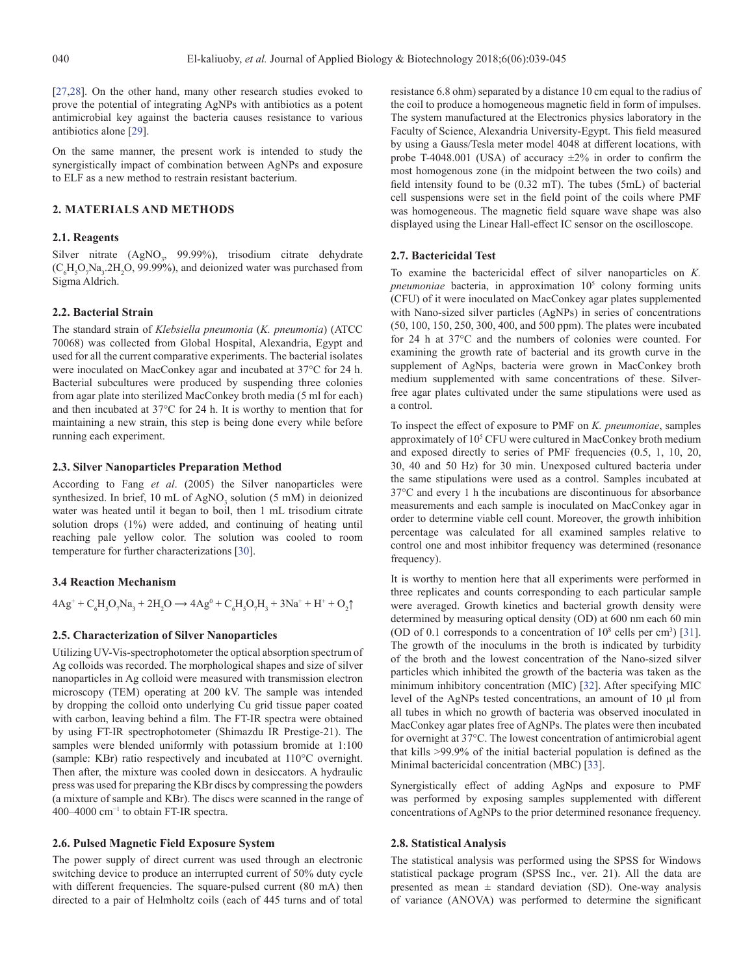[[27,](#page-5-10)[28\]](#page-5-11). On the other hand, many other research studies evoked to prove the potential of integrating AgNPs with antibiotics as a potent antimicrobial key against the bacteria causes resistance to various antibiotics alone [\[29](#page-5-12)].

On the same manner, the present work is intended to study the synergistically impact of combination between AgNPs and exposure to ELF as a new method to restrain resistant bacterium.

# **2. MATERIALS AND METHODS**

# **2.1. Reagents**

Silver nitrate (AgNO<sub>3</sub>, 99.99%), trisodium citrate dehydrate  $(C_6H_5O_7Na_3.2H_2O, 99.99\%)$ , and deionized water was purchased from Sigma Aldrich.

#### **2.2. Bacterial Strain**

The standard strain of *Klebsiella pneumonia* (*K. pneumonia*) (ATCC 70068) was collected from Global Hospital, Alexandria, Egypt and used for all the current comparative experiments. The bacterial isolates were inoculated on MacConkey agar and incubated at 37°C for 24 h. Bacterial subcultures were produced by suspending three colonies from agar plate into sterilized MacConkey broth media (5 ml for each) and then incubated at 37°C for 24 h. It is worthy to mention that for maintaining a new strain, this step is being done every while before running each experiment.

#### **2.3. Silver Nanoparticles Preparation Method**

According to Fang *et al*. (2005) the Silver nanoparticles were synthesized. In brief, 10 mL of  $AgNO_3$  solution (5 mM) in deionized water was heated until it began to boil, then 1 mL trisodium citrate solution drops (1%) were added, and continuing of heating until reaching pale yellow color. The solution was cooled to room temperature for further characterizations [\[30](#page-5-13)].

#### **3.4 Reaction Mechanism**

 $4Ag^+ + C_6H_5O_7Na_3 + 2H_2O \rightarrow 4Ag^0 + C_6H_5O_7H_3 + 3Na^+ + H^+ + O_2\uparrow$ 

### **2.5. Characterization of Silver Nanoparticles**

Utilizing UV-Vis-spectrophotometer the optical absorption spectrum of Ag colloids was recorded. The morphological shapes and size of silver nanoparticles in Ag colloid were measured with transmission electron microscopy (TEM) operating at 200 kV. The sample was intended by dropping the colloid onto underlying Cu grid tissue paper coated with carbon, leaving behind a film. The FT-IR spectra were obtained by using FT-IR spectrophotometer (Shimazdu IR Prestige-21). The samples were blended uniformly with potassium bromide at 1:100 (sample: KBr) ratio respectively and incubated at 110°C overnight. Then after, the mixture was cooled down in desiccators. A hydraulic press was used for preparing the KBr discs by compressing the powders (a mixture of sample and KBr). The discs were scanned in the range of 400–4000 cm−1 to obtain FT-IR spectra.

#### **2.6. Pulsed Magnetic Field Exposure System**

The power supply of direct current was used through an electronic switching device to produce an interrupted current of 50% duty cycle with different frequencies. The square-pulsed current (80 mA) then directed to a pair of Helmholtz coils (each of 445 turns and of total

resistance 6.8 ohm) separated by a distance 10 cm equal to the radius of the coil to produce a homogeneous magnetic field in form of impulses. The system manufactured at the Electronics physics laboratory in the Faculty of Science, Alexandria University-Egypt. This field measured by using a Gauss/Tesla meter model 4048 at different locations, with probe T-4048.001 (USA) of accuracy  $\pm 2\%$  in order to confirm the most homogenous zone (in the midpoint between the two coils) and field intensity found to be (0.32 mT). The tubes (5mL) of bacterial cell suspensions were set in the field point of the coils where PMF was homogeneous. The magnetic field square wave shape was also displayed using the Linear Hall-effect IC sensor on the oscilloscope.

#### **2.7. Bactericidal Test**

To examine the bactericidal effect of silver nanoparticles on *K. pneumoniae* bacteria, in approximation 105 colony forming units (CFU) of it were inoculated on MacConkey agar plates supplemented with Nano-sized silver particles (AgNPs) in series of concentrations (50, 100, 150, 250, 300, 400, and 500 ppm). The plates were incubated for 24 h at 37°C and the numbers of colonies were counted. For examining the growth rate of bacterial and its growth curve in the supplement of AgNps, bacteria were grown in MacConkey broth medium supplemented with same concentrations of these. Silverfree agar plates cultivated under the same stipulations were used as a control.

To inspect the effect of exposure to PMF on *K. pneumoniae*, samples approximately of 10<sup>5</sup> CFU were cultured in MacConkey broth medium and exposed directly to series of PMF frequencies (0.5, 1, 10, 20, 30, 40 and 50 Hz) for 30 min. Unexposed cultured bacteria under the same stipulations were used as a control. Samples incubated at 37°C and every 1 h the incubations are discontinuous for absorbance measurements and each sample is inoculated on MacConkey agar in order to determine viable cell count. Moreover, the growth inhibition percentage was calculated for all examined samples relative to control one and most inhibitor frequency was determined (resonance frequency).

It is worthy to mention here that all experiments were performed in three replicates and counts corresponding to each particular sample were averaged. Growth kinetics and bacterial growth density were determined by measuring optical density (OD) at 600 nm each 60 min (OD of 0.1 corresponds to a concentration of  $10^8$  cells per cm<sup>3</sup>) [\[31](#page-5-14)]. The growth of the inoculums in the broth is indicated by turbidity of the broth and the lowest concentration of the Nano-sized silver particles which inhibited the growth of the bacteria was taken as the minimum inhibitory concentration (MIC) [[32\]](#page-5-15). After specifying MIC level of the AgNPs tested concentrations, an amount of 10 μl from all tubes in which no growth of bacteria was observed inoculated in MacConkey agar plates free of AgNPs. The plates were then incubated for overnight at 37°C. The lowest concentration of antimicrobial agent that kills >99.9% of the initial bacterial population is defined as the Minimal bactericidal concentration (MBC) [\[33](#page-5-16)].

Synergistically effect of adding AgNps and exposure to PMF was performed by exposing samples supplemented with different concentrations of AgNPs to the prior determined resonance frequency.

#### **2.8. Statistical Analysis**

The statistical analysis was performed using the SPSS for Windows statistical package program (SPSS Inc., ver. 21). All the data are presented as mean  $\pm$  standard deviation (SD). One-way analysis of variance (ANOVA) was performed to determine the significant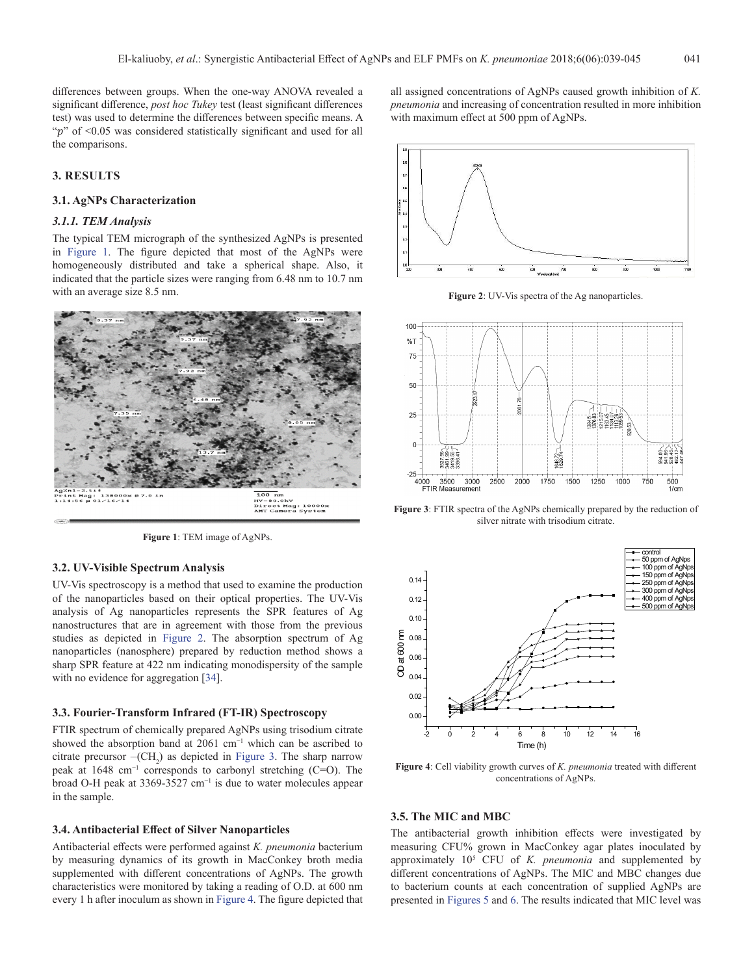differences between groups. When the one-way ANOVA revealed a significant difference, *post hoc Tukey* test (least significant differences test) was used to determine the differences between specific means. A " $p$ " of <0.05 was considered statistically significant and used for all the comparisons.

# **3. RESULTS**

#### **3.1. AgNPs Characterization**

# *3.1.1. TEM Analysis*

The typical TEM micrograph of the synthesized AgNPs is presented in Figure 1. The figure depicted that most of the AgNPs were homogeneously distributed and take a spherical shape. Also, it indicated that the particle sizes were ranging from 6.48 nm to 10.7 nm with an average size 8.5 nm.



**Figure 1**: TEM image of AgNPs.

# **3.2. UV-Visible Spectrum Analysis**

UV-Vis spectroscopy is a method that used to examine the production of the nanoparticles based on their optical properties. The UV-Vis analysis of Ag nanoparticles represents the SPR features of Ag nanostructures that are in agreement with those from the previous studies as depicted in Figure 2. The absorption spectrum of Ag nanoparticles (nanosphere) prepared by reduction method shows a sharp SPR feature at 422 nm indicating monodispersity of the sample with no evidence for aggregation [[34\]](#page-5-17).

#### **3.3. Fourier-Transform Infrared (FT-IR) Spectroscopy**

FTIR spectrum of chemically prepared AgNPs using trisodium citrate showed the absorption band at 2061 cm−1 which can be ascribed to citrate precursor  $-(CH_2)$  as depicted in Figure 3. The sharp narrow peak at 1648 cm−1 corresponds to carbonyl stretching (C=O). The broad O-H peak at 3369-3527 cm−1 is due to water molecules appear in the sample.

#### **3.4. Antibacterial Effect of Silver Nanoparticles**

Antibacterial effects were performed against *K. pneumonia* bacterium by measuring dynamics of its growth in MacConkey broth media supplemented with different concentrations of AgNPs. The growth characteristics were monitored by taking a reading of O.D. at 600 nm every 1 h after inoculum as shown in Figure 4. The figure depicted that

all assigned concentrations of AgNPs caused growth inhibition of *K. pneumonia* and increasing of concentration resulted in more inhibition with maximum effect at 500 ppm of AgNPs.



**Figure 2**: UV-Vis spectra of the Ag nanoparticles.



**Figure 3**: FTIR spectra of the AgNPs chemically prepared by the reduction of silver nitrate with trisodium citrate.



**Figure 4**: Cell viability growth curves of *K. pneumonia* treated with different concentrations of AgNPs.

#### **3.5. The MIC and MBC**

The antibacterial growth inhibition effects were investigated by measuring CFU% grown in MacConkey agar plates inoculated by approximately 105 CFU of *K. pneumonia* and supplemented by different concentrations of AgNPs. The MIC and MBC changes due to bacterium counts at each concentration of supplied AgNPs are presented in Figures 5 and 6. The results indicated that MIC level was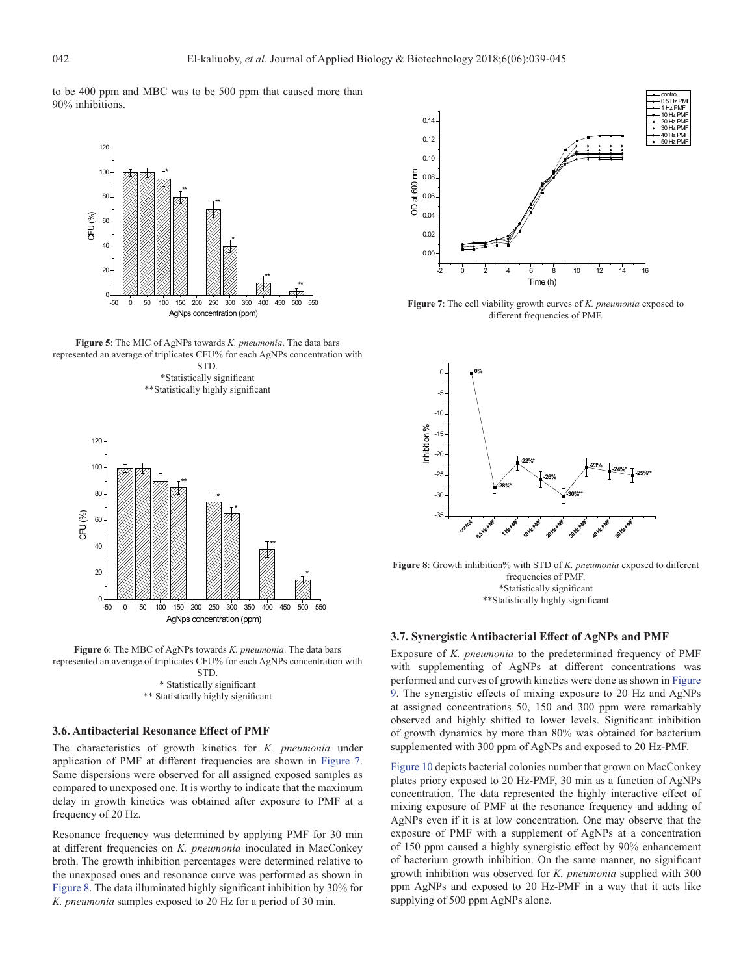to be 400 ppm and MBC was to be 500 ppm that caused more than 90% inhibitions.



**Figure 5**: The MIC of AgNPs towards *K. pneumonia*. The data bars represented an average of triplicates CFU% for each AgNPs concentration with STD.

\*Statistically significant \*\*Statistically highly significant





## **3.6. Antibacterial Resonance Effect of PMF**

The characteristics of growth kinetics for *K. pneumonia* under application of PMF at different frequencies are shown in Figure 7. Same dispersions were observed for all assigned exposed samples as compared to unexposed one. It is worthy to indicate that the maximum delay in growth kinetics was obtained after exposure to PMF at a frequency of 20 Hz.

Resonance frequency was determined by applying PMF for 30 min at different frequencies on *K. pneumonia* inoculated in MacConkey broth. The growth inhibition percentages were determined relative to the unexposed ones and resonance curve was performed as shown in Figure 8. The data illuminated highly significant inhibition by 30% for *K. pneumonia* samples exposed to 20 Hz for a period of 30 min.



**Figure 7**: The cell viability growth curves of *K. pneumonia* exposed to different frequencies of PMF.



**Figure 8**: Growth inhibition% with STD of *K. pneumonia* exposed to different frequencies of PMF. \*Statistically significant \*\*Statistically highly significant

# **3.7. Synergistic Antibacterial Effect of AgNPs and PMF**

Exposure of *K. pneumonia* to the predetermined frequency of PMF with supplementing of AgNPs at different concentrations was performed and curves of growth kinetics were done as shown in Figure 9. The synergistic effects of mixing exposure to 20 Hz and AgNPs at assigned concentrations 50, 150 and 300 ppm were remarkably observed and highly shifted to lower levels. Significant inhibition of growth dynamics by more than 80% was obtained for bacterium supplemented with 300 ppm of AgNPs and exposed to 20 Hz-PMF.

Figure 10 depicts bacterial colonies number that grown on MacConkey plates priory exposed to 20 Hz-PMF, 30 min as a function of AgNPs concentration. The data represented the highly interactive effect of mixing exposure of PMF at the resonance frequency and adding of AgNPs even if it is at low concentration. One may observe that the exposure of PMF with a supplement of AgNPs at a concentration of 150 ppm caused a highly synergistic effect by 90% enhancement of bacterium growth inhibition. On the same manner, no significant growth inhibition was observed for *K. pneumonia* supplied with 300 ppm AgNPs and exposed to 20 Hz-PMF in a way that it acts like supplying of 500 ppm AgNPs alone.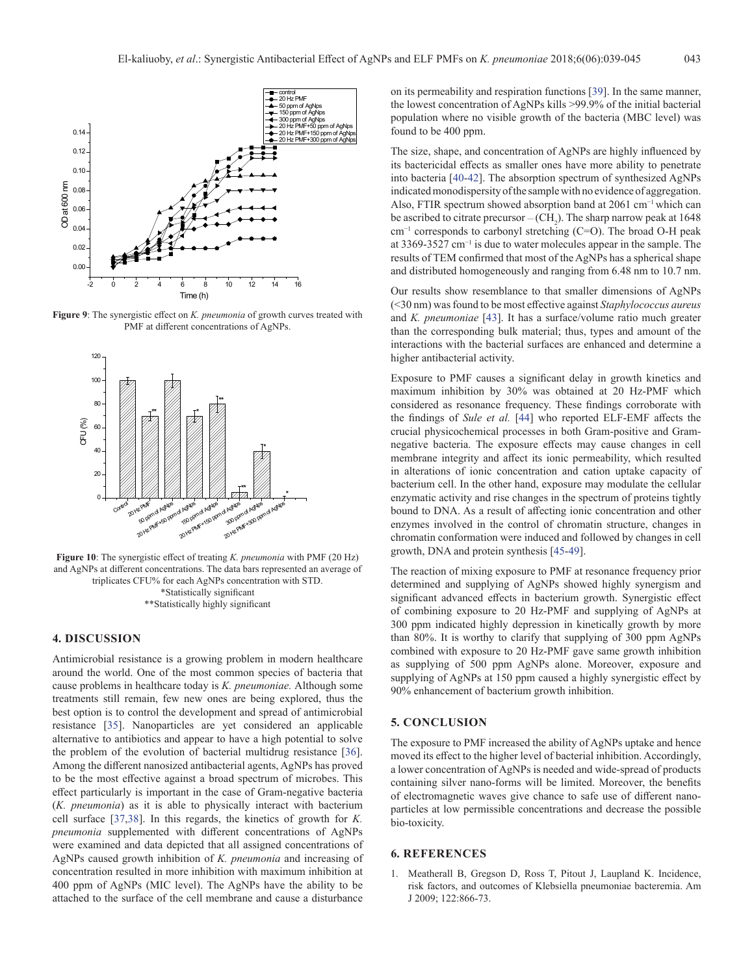

**Figure 9**: The synergistic effect on *K. pneumonia* of growth curves treated with PMF at different concentrations of AgNPs.



**Figure 10**: The synergistic effect of treating *K. pneumonia* with PMF (20 Hz) and AgNPs at different concentrations. The data bars represented an average of triplicates CFU% for each AgNPs concentration with STD. \*Statistically significant \*\*Statistically highly significant

#### **4. DISCUSSION**

Antimicrobial resistance is a growing problem in modern healthcare around the world. One of the most common species of bacteria that cause problems in healthcare today is *K. pneumoniae.* Although some treatments still remain, few new ones are being explored, thus the best option is to control the development and spread of antimicrobial resistance [\[35](#page-5-18)]. Nanoparticles are yet considered an applicable alternative to antibiotics and appear to have a high potential to solve the problem of the evolution of bacterial multidrug resistance [\[36](#page-5-19)]. Among the different nanosized antibacterial agents, AgNPs has proved to be the most effective against a broad spectrum of microbes. This effect particularly is important in the case of Gram-negative bacteria (*K. pneumonia*) as it is able to physically interact with bacterium cell surface [[37,](#page-5-20)[38\]](#page-5-21). In this regards, the kinetics of growth for *K. pneumonia* supplemented with different concentrations of AgNPs were examined and data depicted that all assigned concentrations of AgNPs caused growth inhibition of *K. pneumonia* and increasing of concentration resulted in more inhibition with maximum inhibition at 400 ppm of AgNPs (MIC level). The AgNPs have the ability to be attached to the surface of the cell membrane and cause a disturbance

on its permeability and respiration functions [[39\]](#page-6-0). In the same manner, the lowest concentration of AgNPs kills >99.9% of the initial bacterial population where no visible growth of the bacteria (MBC level) was found to be 400 ppm.

The size, shape, and concentration of AgNPs are highly influenced by its bactericidal effects as smaller ones have more ability to penetrate into bacteria [[40-](#page-6-1)[42](#page-6-2)]. The absorption spectrum of synthesized AgNPs indicated monodispersity of the sample with no evidence of aggregation. Also, FTIR spectrum showed absorption band at 2061 cm−1 which can be ascribed to citrate precursor  $-(CH_2)$ . The sharp narrow peak at 1648 cm−1 corresponds to carbonyl stretching (C=O). The broad O-H peak at 3369-3527 cm−1 is due to water molecules appear in the sample. The results of TEM confirmed that most of the AgNPs has a spherical shape and distributed homogeneously and ranging from 6.48 nm to 10.7 nm.

Our results show resemblance to that smaller dimensions of AgNPs (<30 nm) was found to be most effective against *Staphylococcus aureus* and *K. pneumoniae* [[43\]](#page-6-3). It has a surface/volume ratio much greater than the corresponding bulk material; thus, types and amount of the interactions with the bacterial surfaces are enhanced and determine a higher antibacterial activity.

Exposure to PMF causes a significant delay in growth kinetics and maximum inhibition by 30% was obtained at 20 Hz-PMF which considered as resonance frequency. These findings corroborate with the findings of *Sule et al.* [\[44](#page-6-4)] who reported ELF-EMF affects the crucial physicochemical processes in both Gram-positive and Gramnegative bacteria. The exposure effects may cause changes in cell membrane integrity and affect its ionic permeability, which resulted in alterations of ionic concentration and cation uptake capacity of bacterium cell. In the other hand, exposure may modulate the cellular enzymatic activity and rise changes in the spectrum of proteins tightly bound to DNA. As a result of affecting ionic concentration and other enzymes involved in the control of chromatin structure, changes in chromatin conformation were induced and followed by changes in cell growth, DNA and protein synthesis [[45-](#page-6-5)[49\]](#page-6-6).

The reaction of mixing exposure to PMF at resonance frequency prior determined and supplying of AgNPs showed highly synergism and significant advanced effects in bacterium growth. Synergistic effect of combining exposure to 20 Hz-PMF and supplying of AgNPs at 300 ppm indicated highly depression in kinetically growth by more than 80%. It is worthy to clarify that supplying of 300 ppm AgNPs combined with exposure to 20 Hz-PMF gave same growth inhibition as supplying of 500 ppm AgNPs alone. Moreover, exposure and supplying of AgNPs at 150 ppm caused a highly synergistic effect by 90% enhancement of bacterium growth inhibition.

# **5. CONCLUSION**

The exposure to PMF increased the ability of AgNPs uptake and hence moved its effect to the higher level of bacterial inhibition. Accordingly, a lower concentration of AgNPs is needed and wide-spread of products containing silver nano-forms will be limited. Moreover, the benefits of electromagnetic waves give chance to safe use of different nanoparticles at low permissible concentrations and decrease the possible bio-toxicity.

# **6. REFERENCES**

<span id="page-4-0"></span>1. Meatherall B, Gregson D, Ross T, Pitout J, Laupland K. Incidence, risk factors, and outcomes of Klebsiella pneumoniae bacteremia. Am J 2009; 122:866-73.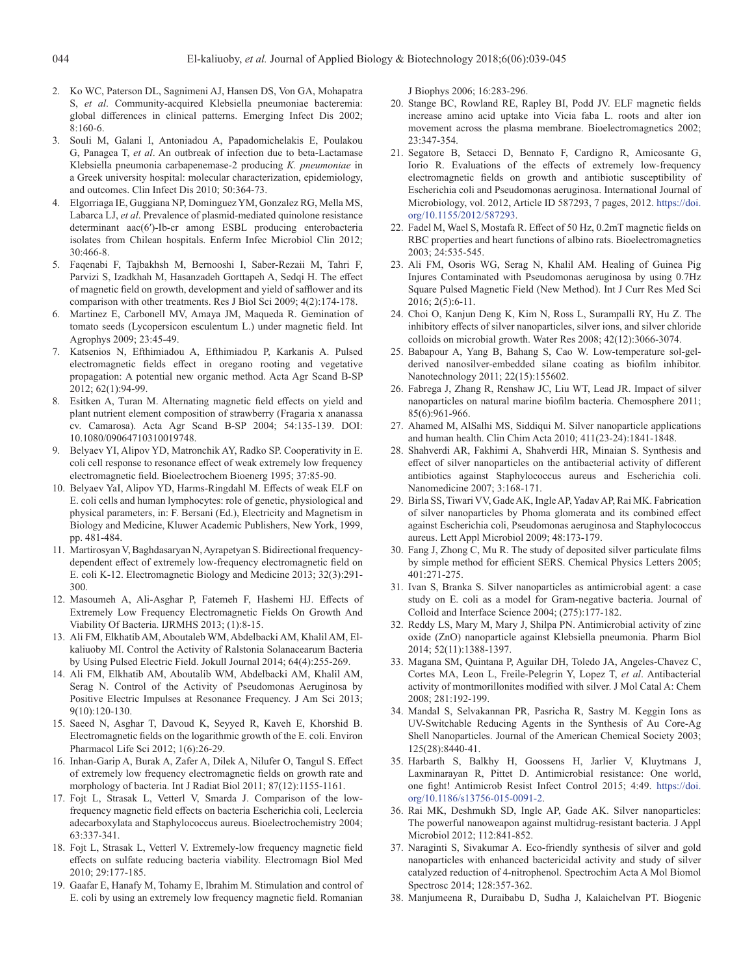- <span id="page-5-0"></span>2. Ko WC, Paterson DL, Sagnimeni AJ, Hansen DS, Von GA, Mohapatra S, *et al*. Community-acquired Klebsiella pneumoniae bacteremia: global differences in clinical patterns. Emerging Infect Dis 2002; 8:160-6.
- <span id="page-5-1"></span>3. Souli M, Galani I, Antoniadou A, Papadomichelakis E, Poulakou G, Panagea T, *et al*. An outbreak of infection due to beta-Lactamase Klebsiella pneumonia carbapenemase-2 producing *K. pneumoniae* in a Greek university hospital: molecular characterization, epidemiology, and outcomes. Clin Infect Dis 2010; 50:364-73.
- 4. Elgorriaga IE, Guggiana NP, Dominguez YM, Gonzalez RG, Mella MS, Labarca LJ, *et al*. Prevalence of plasmid-mediated quinolone resistance determinant aac(6′)-Ib-cr among ESBL producing enterobacteria isolates from Chilean hospitals. Enferm Infec Microbiol Clin 2012; 30:466-8.
- <span id="page-5-2"></span>5. Faqenabi F, Tajbakhsh M, Bernooshi I, Saber-Rezaii M, Tahri F, Parvizi S, Izadkhah M, Hasanzadeh Gorttapeh A, Sedqi H. The effect of magnetic field on growth, development and yield of safflower and its comparison with other treatments. Res J Biol Sci 2009; 4(2):174-178.
- 6. Martinez E, Carbonell MV, Amaya JM, Maqueda R. Gemination of tomato seeds (Lycopersicon esculentum L.) under magnetic field. Int Agrophys 2009; 23:45-49.
- 7. Katsenios N, Efthimiadou A, Efthimiadou P, Karkanis A. Pulsed electromagnetic fields effect in oregano rooting and vegetative propagation: A potential new organic method. Acta Agr Scand B-SP 2012; 62(1):94-99.
- <span id="page-5-3"></span>8. Esitken A, Turan M. Alternating magnetic field effects on yield and plant nutrient element composition of strawberry (Fragaria x ananassa cv. Camarosa). Acta Agr Scand B-SP 2004; 54:135-139. DOI: 10.1080/09064710310019748.
- <span id="page-5-4"></span>9. Belyaev YI, Alipov YD, Matronchik AY, Radko SP. Cooperativity in E. coli cell response to resonance effect of weak extremely low frequency electromagnetic field. Bioelectrochem Bioenerg 1995; 37:85-90.
- 10. Belyaev YaI, Alipov YD, Harms-Ringdahl M. Effects of weak ELF on E. coli cells and human lymphocytes: role of genetic, physiological and physical parameters, in: F. Bersani (Ed.), Electricity and Magnetism in Biology and Medicine, Kluwer Academic Publishers, New York, 1999, pp. 481-484.
- 11. Martirosyan V, Baghdasaryan N, Ayrapetyan S. Bidirectional frequencydependent effect of extremely low-frequency electromagnetic field on E. coli K-12. Electromagnetic Biology and Medicine 2013; 32(3):291- 300.
- 12. Masoumeh A, Ali-Asghar P, Fatemeh F, Hashemi HJ. Effects of Extremely Low Frequency Electromagnetic Fields On Growth And Viability Of Bacteria. IJRMHS 2013; (1):8-15.
- 13. Ali FM, Elkhatib AM, Aboutaleb WM, Abdelbacki AM, Khalil AM, Elkaliuoby MI. Control the Activity of Ralstonia Solanacearum Bacteria by Using Pulsed Electric Field. Jokull Journal 2014; 64(4):255-269.
- <span id="page-5-5"></span>14. Ali FM, Elkhatib AM, Aboutalib WM, Abdelbacki AM, Khalil AM, Serag N. Control of the Activity of Pseudomonas Aeruginosa by Positive Electric Impulses at Resonance Frequency. J Am Sci 2013; 9(10):120-130.
- <span id="page-5-6"></span>15. Saeed N, Asghar T, Davoud K, Seyyed R, Kaveh E, Khorshid B. Electromagnetic fields on the logarithmic growth of the E. coli. Environ Pharmacol Life Sci 2012; 1(6):26-29.
- 16. Inhan-Garip A, Burak A, Zafer A, Dilek A, Nilufer O, Tangul S. Effect of extremely low frequency electromagnetic fields on growth rate and morphology of bacteria. Int J Radiat Biol 2011; 87(12):1155-1161.
- 17. Fojt L, Strasak L, Vetterl V, Smarda J. Comparison of the lowfrequency magnetic field effects on bacteria Escherichia coli, Leclercia adecarboxylata and Staphylococcus aureus. Bioelectrochemistry 2004; 63:337-341.
- 18. Fojt L, Strasak L, Vetterl V. Extremely-low frequency magnetic field effects on sulfate reducing bacteria viability. Electromagn Biol Med 2010; 29:177-185.
- 19. Gaafar E, Hanafy M, Tohamy E, Ibrahim M. Stimulation and control of E. coli by using an extremely low frequency magnetic field. Romanian

J Biophys 2006; 16:283-296.

- 20. Stange BC, Rowland RE, Rapley BI, Podd JV. ELF magnetic fields increase amino acid uptake into Vicia faba L. roots and alter ion movement across the plasma membrane. Bioelectromagnetics 2002; 23:347-354.
- 21. Segatore B, Setacci D, Bennato F, Cardigno R, Amicosante G, Iorio R. Evaluations of the effects of extremely low-frequency electromagnetic fields on growth and antibiotic susceptibility of Escherichia coli and Pseudomonas aeruginosa. International Journal of Microbiology, vol. 2012, Article ID 587293, 7 pages, 2012. https://doi. org/10.1155/2012/587293.
- 22. Fadel M, Wael S, Mostafa R. Effect of 50 Hz, 0.2mT magnetic fields on RBC properties and heart functions of albino rats. Bioelectromagnetics 2003; 24:535-545.
- <span id="page-5-7"></span>23. Ali FM, Osoris WG, Serag N, Khalil AM. Healing of Guinea Pig Injures Contaminated with Pseudomonas aeruginosa by using 0.7Hz Square Pulsed Magnetic Field (New Method). Int J Curr Res Med Sci 2016; 2(5):6-11.
- <span id="page-5-8"></span>24. Choi O, Kanjun Deng K, Kim N, Ross L, Surampalli RY, Hu Z. The inhibitory effects of silver nanoparticles, silver ions, and silver chloride colloids on microbial growth. Water Res 2008; 42(12):3066-3074.
- 25. Babapour A, Yang B, Bahang S, Cao W. Low-temperature sol-gelderived nanosilver-embedded silane coating as biofilm inhibitor. Nanotechnology 2011; 22(15):155602.
- <span id="page-5-9"></span>26. Fabrega J, Zhang R, Renshaw JC, Liu WT, Lead JR. Impact of silver nanoparticles on natural marine biofilm bacteria. Chemosphere 2011; 85(6):961-966.
- <span id="page-5-10"></span>27. Ahamed M, AlSalhi MS, Siddiqui M. Silver nanoparticle applications and human health. Clin Chim Acta 2010; 411(23-24):1841-1848.
- <span id="page-5-11"></span>28. Shahverdi AR, Fakhimi A, Shahverdi HR, Minaian S. Synthesis and effect of silver nanoparticles on the antibacterial activity of different antibiotics against Staphylococcus aureus and Escherichia coli. Nanomedicine 2007; 3:168-171.
- <span id="page-5-12"></span>29. Birla SS, Tiwari VV, Gade AK, Ingle AP, Yadav AP, Rai MK. Fabrication of silver nanoparticles by Phoma glomerata and its combined effect against Escherichia coli, Pseudomonas aeruginosa and Staphylococcus aureus. Lett Appl Microbiol 2009; 48:173-179.
- <span id="page-5-13"></span>30. Fang J, Zhong C, Mu R. The study of deposited silver particulate films by simple method for efficient SERS. Chemical Physics Letters 2005; 401:271-275.
- <span id="page-5-14"></span>31. Ivan S, Branka S. Silver nanoparticles as antimicrobial agent: a case study on E. coli as a model for Gram-negative bacteria. Journal of Colloid and Interface Science 2004; (275):177-182.
- <span id="page-5-15"></span>32. Reddy LS, Mary M, Mary J, Shilpa PN. Antimicrobial activity of zinc oxide (ZnO) nanoparticle against Klebsiella pneumonia. Pharm Biol 2014; 52(11):1388-1397.
- <span id="page-5-16"></span>33. Magana SM, Quintana P, Aguilar DH, Toledo JA, Angeles-Chavez C, Cortes MA, Leon L, Freile-Pelegrin Y, Lopez T, *et al*. Antibacterial activity of montmorillonites modified with silver. J Mol Catal A: Chem 2008; 281:192-199.
- <span id="page-5-17"></span>34. Mandal S, Selvakannan PR, Pasricha R, Sastry M. Keggin Ions as UV-Switchable Reducing Agents in the Synthesis of Au Core-Ag Shell Nanoparticles. Journal of the American Chemical Society 2003; 125(28):8440-41.
- <span id="page-5-18"></span>35. Harbarth S, Balkhy H, Goossens H, Jarlier V, Kluytmans J, Laxminarayan R, Pittet D. Antimicrobial resistance: One world, one fight! Antimicrob Resist Infect Control 2015; 4:49. https://doi. org/10.1186/s13756-015-0091-2.
- <span id="page-5-19"></span>36. Rai MK, Deshmukh SD, Ingle AP, Gade AK. Silver nanoparticles: The powerful nanoweapon against multidrug-resistant bacteria. J Appl Microbiol 2012; 112:841-852.
- <span id="page-5-20"></span>37. Naraginti S, Sivakumar A. Eco-friendly synthesis of silver and gold nanoparticles with enhanced bactericidal activity and study of silver catalyzed reduction of 4-nitrophenol. Spectrochim Acta A Mol Biomol Spectrosc 2014; 128:357-362.
- <span id="page-5-21"></span>38. Manjumeena R, Duraibabu D, Sudha J, Kalaichelvan PT. Biogenic